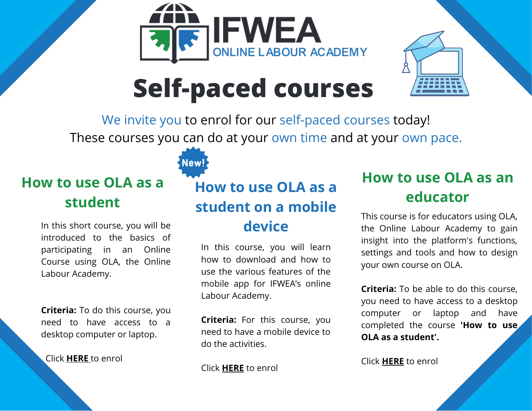



## **Self-paced courses**

We invite you to enrol for our self-paced courses today! These courses you can do at your own time and at your own pace.

#### **How to use OLA as a student**

In this short course, you will be introduced to the basics of participating in an Online Course using OLA, the Online Labour Academy.

**Criteria:** To do this course, you need to have access to a desktop computer or laptop.

Click **[HERE](https://ifweaonline.org/course/view.php?id=155)** to enrol

### **How to use OLA as a student on a mobile device**

In this course, you will learn how to download and how to use the various features of the mobile app for IFWEA's online Labour Academy.

**Criteria:** For this course, you need to have a mobile device to do the activities.

Click **[HERE](https://ifweaonline.org/course/view.php?id=500)** to enrol

#### **How to use OLA as an educator**

This course is for educators using OLA, the Online Labour Academy to gain insight into the platform's functions, settings and tools and how to design your own course on OLA.

**Criteria:** To be able to do this course, you need to have access to a desktop computer or laptop and have completed the course **'How to use OLA as a student'.**

Click **[HERE](https://ifweaonline.org/course/view.php?id=157)** to enrol